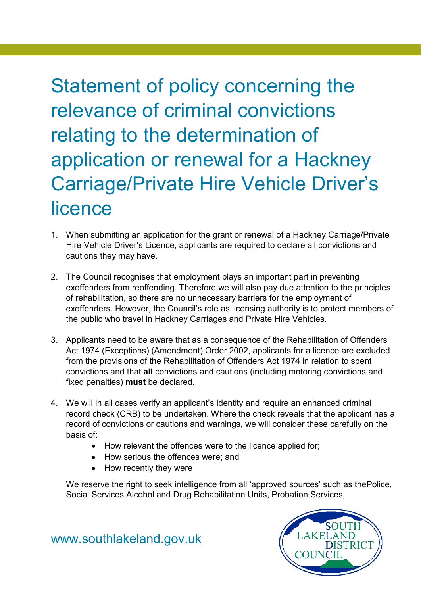Statement of policy concerning the relevance of criminal convictions relating to the determination of application or renewal for a Hackney Carriage/Private Hire Vehicle Driver's licence

- 1. When submitting an application for the grant or renewal of a Hackney Carriage/Private Hire Vehicle Driver's Licence, applicants are required to declare all convictions and cautions they may have.
- 2. The Council recognises that employment plays an important part in preventing exoffenders from reoffending. Therefore we will also pay due attention to the principles of rehabilitation, so there are no unnecessary barriers for the employment of exoffenders. However, the Council's role as licensing authority is to protect members of the public who travel in Hackney Carriages and Private Hire Vehicles.
- 3. Applicants need to be aware that as a consequence of the Rehabilitation of Offenders Act 1974 (Exceptions) (Amendment) Order 2002, applicants for a licence are excluded from the provisions of the Rehabilitation of Offenders Act 1974 in relation to spent convictions and that **all** convictions and cautions (including motoring convictions and fixed penalties) **must** be declared.
- 4. We will in all cases verify an applicant's identity and require an enhanced criminal record check (CRB) to be undertaken. Where the check reveals that the applicant has a record of convictions or cautions and warnings, we will consider these carefully on the basis of:
	- How relevant the offences were to the licence applied for;
	- How serious the offences were; and
	- How recently they were

We reserve the right to seek intelligence from all 'approved sources' such as thePolice, Social Services Alcohol and Drug Rehabilitation Units, Probation Services,



[www.southlakeland.gov.uk](http://www.southlakeland.gov.uk/)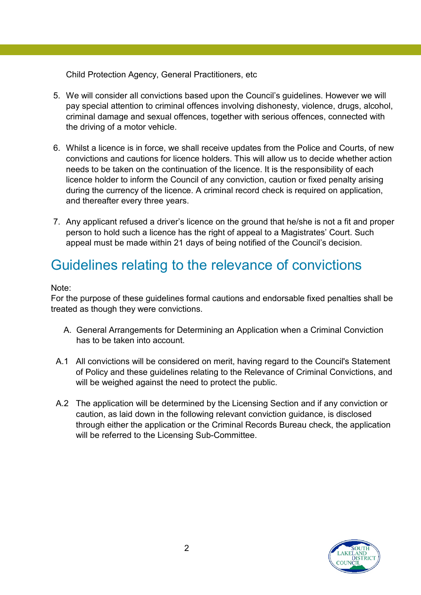Child Protection Agency, General Practitioners, etc

- 5. We will consider all convictions based upon the Council's guidelines. However we will pay special attention to criminal offences involving dishonesty, violence, drugs, alcohol, criminal damage and sexual offences, together with serious offences, connected with the driving of a motor vehicle.
- 6. Whilst a licence is in force, we shall receive updates from the Police and Courts, of new convictions and cautions for licence holders. This will allow us to decide whether action needs to be taken on the continuation of the licence. It is the responsibility of each licence holder to inform the Council of any conviction, caution or fixed penalty arising during the currency of the licence. A criminal record check is required on application, and thereafter every three years.
- 7. Any applicant refused a driver's licence on the ground that he/she is not a fit and proper person to hold such a licence has the right of appeal to a Magistrates' Court. Such appeal must be made within 21 days of being notified of the Council's decision.

# Guidelines relating to the relevance of convictions

#### Note:

For the purpose of these guidelines formal cautions and endorsable fixed penalties shall be treated as though they were convictions.

- A. General Arrangements for Determining an Application when a Criminal Conviction has to be taken into account.
- A.1 All convictions will be considered on merit, having regard to the Council's Statement of Policy and these guidelines relating to the Relevance of Criminal Convictions, and will be weighed against the need to protect the public.
- A.2 The application will be determined by the Licensing Section and if any conviction or caution, as laid down in the following relevant conviction guidance, is disclosed through either the application or the Criminal Records Bureau check, the application will be referred to the Licensing Sub-Committee.

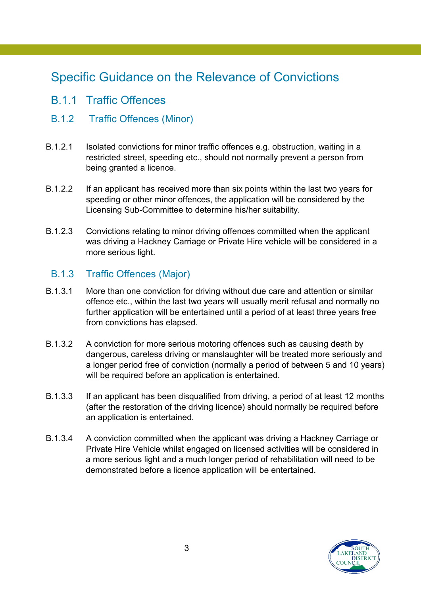## Specific Guidance on the Relevance of Convictions

- B.1.1 Traffic Offences
- B.1.2 Traffic Offences (Minor)
- B.1.2.1 Isolated convictions for minor traffic offences e.g. obstruction, waiting in a restricted street, speeding etc., should not normally prevent a person from being granted a licence.
- B.1.2.2 If an applicant has received more than six points within the last two years for speeding or other minor offences, the application will be considered by the Licensing Sub-Committee to determine his/her suitability.
- B.1.2.3 Convictions relating to minor driving offences committed when the applicant was driving a Hackney Carriage or Private Hire vehicle will be considered in a more serious light.

#### B.1.3 Traffic Offences (Major)

- B.1.3.1 More than one conviction for driving without due care and attention or similar offence etc., within the last two years will usually merit refusal and normally no further application will be entertained until a period of at least three years free from convictions has elapsed.
- B.1.3.2 A conviction for more serious motoring offences such as causing death by dangerous, careless driving or manslaughter will be treated more seriously and a longer period free of conviction (normally a period of between 5 and 10 years) will be required before an application is entertained.
- B.1.3.3 If an applicant has been disqualified from driving, a period of at least 12 months (after the restoration of the driving licence) should normally be required before an application is entertained.
- B.1.3.4 A conviction committed when the applicant was driving a Hackney Carriage or Private Hire Vehicle whilst engaged on licensed activities will be considered in a more serious light and a much longer period of rehabilitation will need to be demonstrated before a licence application will be entertained.

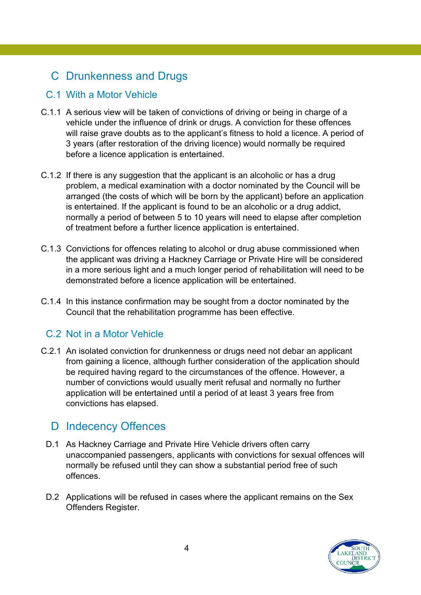## C Drunkenness and Drugs

#### C.1 With a Motor Vehicle

- C.1.1 A serious view will be taken of convictions of driving or being in charge of a vehicle under the influence of drink or drugs. A conviction for these offences will raise grave doubts as to the applicant's fitness to hold a licence. A period of 3 years (after restoration of the driving licence) would normally be required before a licence application is entertained.
- C.1.2 If there is any suggestion that the applicant is an alcoholic or has a drug problem, a medical examination with a doctor nominated by the Council will be arranged (the costs of which will be born by the applicant) before an application is entertained. If the applicant is found to be an alcoholic or a drug addict, normally a period of between 5 to 10 years will need to elapse after completion of treatment before a further licence application is entertained.
- C.1.3 Convictions for offences relating to alcohol or drug abuse commissioned when the applicant was driving a Hackney Carriage or Private Hire will be considered in a more serious light and a much longer period of rehabilitation will need to be demonstrated before a licence application will be entertained.
- C.1.4 In this instance confirmation may be sought from a doctor nominated by the Council that the rehabilitation programme has been effective.

### C.2 Not in a Motor Vehicle

C.2.1 An isolated conviction for drunkenness or drugs need not debar an applicant from gaining a licence, although further consideration of the application should be required having regard to the circumstances of the offence. However, a number of convictions would usually merit refusal and normally no further application will be entertained until a period of at least 3 years free from convictions has elapsed.

## D Indecency Offences

- D.1 As Hackney Carriage and Private Hire Vehicle drivers often carry unaccompanied passengers, applicants with convictions for sexual offences will normally be refused until they can show a substantial period free of such offences.
- D.2 Applications will be refused in cases where the applicant remains on the Sex Offenders Register.

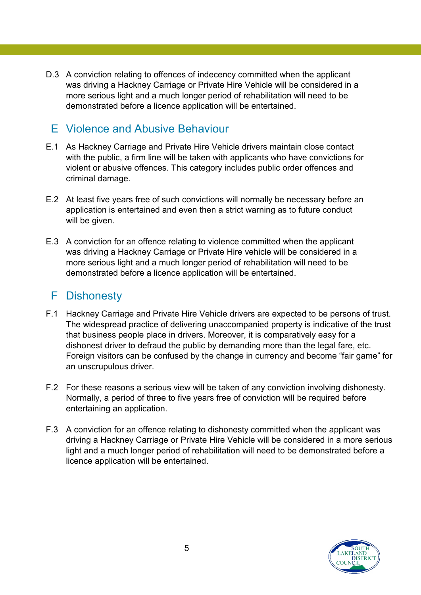D.3 A conviction relating to offences of indecency committed when the applicant was driving a Hackney Carriage or Private Hire Vehicle will be considered in a more serious light and a much longer period of rehabilitation will need to be demonstrated before a licence application will be entertained.

## E Violence and Abusive Behaviour

- E.1 As Hackney Carriage and Private Hire Vehicle drivers maintain close contact with the public, a firm line will be taken with applicants who have convictions for violent or abusive offences. This category includes public order offences and criminal damage.
- E.2 At least five years free of such convictions will normally be necessary before an application is entertained and even then a strict warning as to future conduct will be given.
- E.3 A conviction for an offence relating to violence committed when the applicant was driving a Hackney Carriage or Private Hire vehicle will be considered in a more serious light and a much longer period of rehabilitation will need to be demonstrated before a licence application will be entertained.

## F Dishonesty

- F.1 Hackney Carriage and Private Hire Vehicle drivers are expected to be persons of trust. The widespread practice of delivering unaccompanied property is indicative of the trust that business people place in drivers. Moreover, it is comparatively easy for a dishonest driver to defraud the public by demanding more than the legal fare, etc. Foreign visitors can be confused by the change in currency and become "fair game" for an unscrupulous driver.
- F.2 For these reasons a serious view will be taken of any conviction involving dishonesty. Normally, a period of three to five years free of conviction will be required before entertaining an application.
- F.3 A conviction for an offence relating to dishonesty committed when the applicant was driving a Hackney Carriage or Private Hire Vehicle will be considered in a more serious light and a much longer period of rehabilitation will need to be demonstrated before a licence application will be entertained.